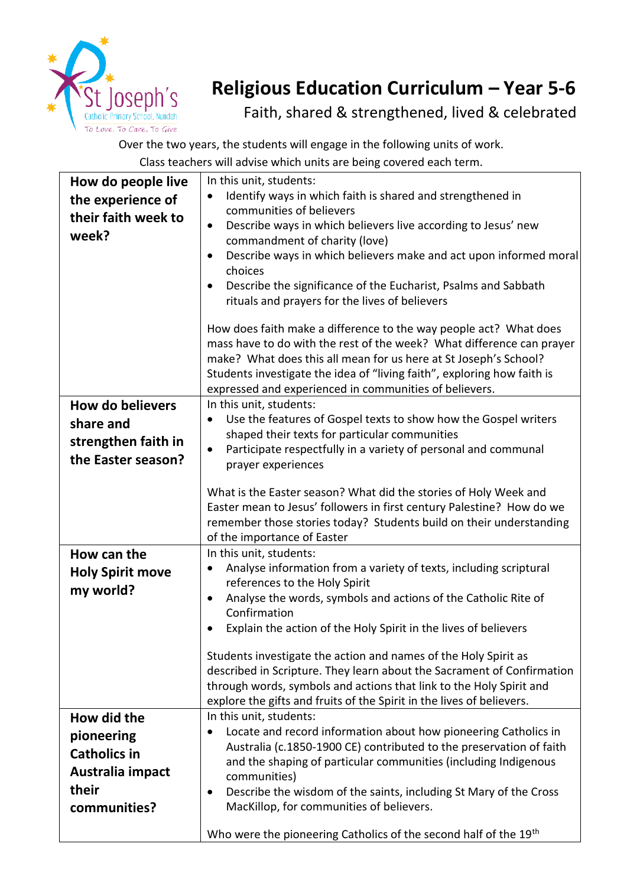

## **Religious Education Curriculum – Year 5-6**

Faith, shared & strengthened, lived & celebrated

Over the two years, the students will engage in the following units of work. Class teachers will advise which units are being covered each term.

|                         | Class teachers will advise which units are being covered each term.                                                                       |
|-------------------------|-------------------------------------------------------------------------------------------------------------------------------------------|
| How do people live      | In this unit, students:                                                                                                                   |
| the experience of       | Identify ways in which faith is shared and strengthened in                                                                                |
| their faith week to     | communities of believers                                                                                                                  |
| week?                   | Describe ways in which believers live according to Jesus' new<br>$\bullet$                                                                |
|                         | commandment of charity (love)                                                                                                             |
|                         | Describe ways in which believers make and act upon informed moral<br>٠                                                                    |
|                         | choices                                                                                                                                   |
|                         | Describe the significance of the Eucharist, Psalms and Sabbath<br>$\bullet$                                                               |
|                         | rituals and prayers for the lives of believers                                                                                            |
|                         | How does faith make a difference to the way people act? What does                                                                         |
|                         | mass have to do with the rest of the week? What difference can prayer                                                                     |
|                         | make? What does this all mean for us here at St Joseph's School?                                                                          |
|                         | Students investigate the idea of "living faith", exploring how faith is                                                                   |
|                         | expressed and experienced in communities of believers.                                                                                    |
| <b>How do believers</b> | In this unit, students:                                                                                                                   |
| share and               | Use the features of Gospel texts to show how the Gospel writers<br>$\bullet$                                                              |
| strengthen faith in     | shaped their texts for particular communities                                                                                             |
|                         | Participate respectfully in a variety of personal and communal<br>$\bullet$                                                               |
| the Easter season?      | prayer experiences                                                                                                                        |
|                         |                                                                                                                                           |
|                         | What is the Easter season? What did the stories of Holy Week and<br>Easter mean to Jesus' followers in first century Palestine? How do we |
|                         | remember those stories today? Students build on their understanding                                                                       |
|                         | of the importance of Easter                                                                                                               |
| How can the             | In this unit, students:                                                                                                                   |
|                         | Analyse information from a variety of texts, including scriptural<br>$\bullet$                                                            |
| <b>Holy Spirit move</b> | references to the Holy Spirit                                                                                                             |
| my world?               | Analyse the words, symbols and actions of the Catholic Rite of                                                                            |
|                         | Confirmation                                                                                                                              |
|                         | Explain the action of the Holy Spirit in the lives of believers                                                                           |
|                         |                                                                                                                                           |
|                         | Students investigate the action and names of the Holy Spirit as                                                                           |
|                         | described in Scripture. They learn about the Sacrament of Confirmation                                                                    |
|                         | through words, symbols and actions that link to the Holy Spirit and                                                                       |
|                         | explore the gifts and fruits of the Spirit in the lives of believers.                                                                     |
| How did the             | In this unit, students:                                                                                                                   |
| pioneering              | Locate and record information about how pioneering Catholics in                                                                           |
| <b>Catholics in</b>     | Australia (c.1850-1900 CE) contributed to the preservation of faith<br>and the shaping of particular communities (including Indigenous    |
| Australia impact        | communities)                                                                                                                              |
| their                   | Describe the wisdom of the saints, including St Mary of the Cross<br>٠                                                                    |
| communities?            | MacKillop, for communities of believers.                                                                                                  |
|                         |                                                                                                                                           |
|                         | Who were the pioneering Catholics of the second half of the 19 <sup>th</sup>                                                              |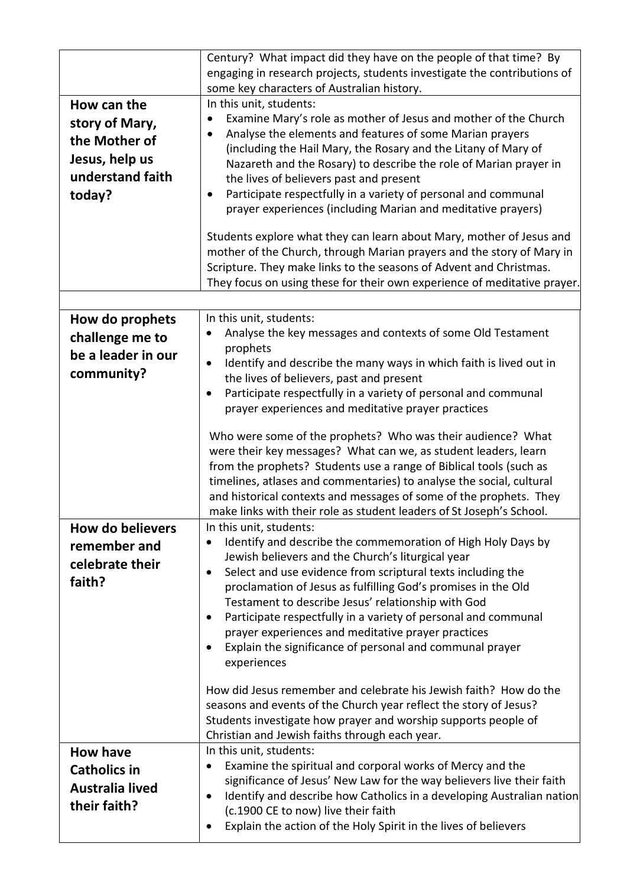|                         | Century? What impact did they have on the people of that time? By<br>engaging in research projects, students investigate the contributions of                                                                                                                                                                                                                                                                              |
|-------------------------|----------------------------------------------------------------------------------------------------------------------------------------------------------------------------------------------------------------------------------------------------------------------------------------------------------------------------------------------------------------------------------------------------------------------------|
|                         | some key characters of Australian history.                                                                                                                                                                                                                                                                                                                                                                                 |
| How can the             | In this unit, students:                                                                                                                                                                                                                                                                                                                                                                                                    |
| story of Mary,          | Examine Mary's role as mother of Jesus and mother of the Church<br>Analyse the elements and features of some Marian prayers                                                                                                                                                                                                                                                                                                |
| the Mother of           | ٠<br>(including the Hail Mary, the Rosary and the Litany of Mary of                                                                                                                                                                                                                                                                                                                                                        |
| Jesus, help us          | Nazareth and the Rosary) to describe the role of Marian prayer in                                                                                                                                                                                                                                                                                                                                                          |
| understand faith        | the lives of believers past and present                                                                                                                                                                                                                                                                                                                                                                                    |
| today?                  | Participate respectfully in a variety of personal and communal<br>$\bullet$                                                                                                                                                                                                                                                                                                                                                |
|                         | prayer experiences (including Marian and meditative prayers)                                                                                                                                                                                                                                                                                                                                                               |
|                         | Students explore what they can learn about Mary, mother of Jesus and<br>mother of the Church, through Marian prayers and the story of Mary in<br>Scripture. They make links to the seasons of Advent and Christmas.<br>They focus on using these for their own experience of meditative prayer.                                                                                                                            |
| How do prophets         | In this unit, students:                                                                                                                                                                                                                                                                                                                                                                                                    |
| challenge me to         | Analyse the key messages and contexts of some Old Testament                                                                                                                                                                                                                                                                                                                                                                |
| be a leader in our      | prophets                                                                                                                                                                                                                                                                                                                                                                                                                   |
| community?              | Identify and describe the many ways in which faith is lived out in<br>$\bullet$                                                                                                                                                                                                                                                                                                                                            |
|                         | the lives of believers, past and present<br>Participate respectfully in a variety of personal and communal<br>$\bullet$                                                                                                                                                                                                                                                                                                    |
|                         | prayer experiences and meditative prayer practices                                                                                                                                                                                                                                                                                                                                                                         |
|                         |                                                                                                                                                                                                                                                                                                                                                                                                                            |
|                         | Who were some of the prophets? Who was their audience? What<br>were their key messages? What can we, as student leaders, learn<br>from the prophets? Students use a range of Biblical tools (such as<br>timelines, atlases and commentaries) to analyse the social, cultural<br>and historical contexts and messages of some of the prophets. They<br>make links with their role as student leaders of St Joseph's School. |
| <b>How do believers</b> | In this unit, students:                                                                                                                                                                                                                                                                                                                                                                                                    |
| remember and            | Identify and describe the commemoration of High Holy Days by                                                                                                                                                                                                                                                                                                                                                               |
| celebrate their         | Jewish believers and the Church's liturgical year                                                                                                                                                                                                                                                                                                                                                                          |
| faith?                  | Select and use evidence from scriptural texts including the<br>$\bullet$<br>proclamation of Jesus as fulfilling God's promises in the Old                                                                                                                                                                                                                                                                                  |
|                         | Testament to describe Jesus' relationship with God                                                                                                                                                                                                                                                                                                                                                                         |
|                         | Participate respectfully in a variety of personal and communal<br>$\bullet$                                                                                                                                                                                                                                                                                                                                                |
|                         | prayer experiences and meditative prayer practices                                                                                                                                                                                                                                                                                                                                                                         |
|                         | Explain the significance of personal and communal prayer<br>$\bullet$                                                                                                                                                                                                                                                                                                                                                      |
|                         | experiences                                                                                                                                                                                                                                                                                                                                                                                                                |
|                         | How did Jesus remember and celebrate his Jewish faith? How do the                                                                                                                                                                                                                                                                                                                                                          |
|                         | seasons and events of the Church year reflect the story of Jesus?                                                                                                                                                                                                                                                                                                                                                          |
|                         | Students investigate how prayer and worship supports people of                                                                                                                                                                                                                                                                                                                                                             |
| <b>How have</b>         | Christian and Jewish faiths through each year.<br>In this unit, students:                                                                                                                                                                                                                                                                                                                                                  |
| <b>Catholics in</b>     | Examine the spiritual and corporal works of Mercy and the<br>$\bullet$                                                                                                                                                                                                                                                                                                                                                     |
| Australia lived         | significance of Jesus' New Law for the way believers live their faith                                                                                                                                                                                                                                                                                                                                                      |
|                         | Identify and describe how Catholics in a developing Australian nation<br>$\bullet$                                                                                                                                                                                                                                                                                                                                         |
| their faith?            | (c.1900 CE to now) live their faith                                                                                                                                                                                                                                                                                                                                                                                        |
|                         | Explain the action of the Holy Spirit in the lives of believers                                                                                                                                                                                                                                                                                                                                                            |